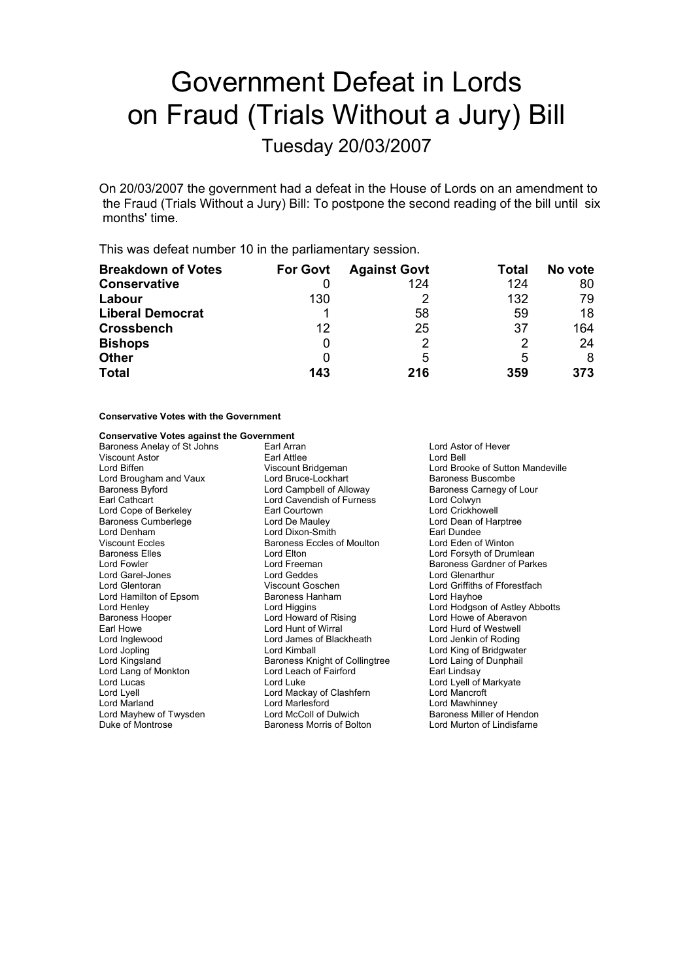# Government Defeat in Lords on Fraud (Trials Without a Jury) Bill

Tuesday 20/03/2007

On 20/03/2007 the government had a defeat in the House of Lords on an amendment to the Fraud (Trials Without a Jury) Bill: To postpone the second reading of the bill until six months' time.

This was defeat number 10 in the parliamentary session.

| <b>Breakdown of Votes</b> | <b>For Govt</b> | <b>Against Govt</b> | Total | No vote |
|---------------------------|-----------------|---------------------|-------|---------|
| <b>Conservative</b>       |                 | 124                 | 124   | 80      |
| Labour                    | 130             |                     | 132   | 79      |
| <b>Liberal Democrat</b>   |                 | 58                  | 59    | 18      |
| <b>Crossbench</b>         | 12              | 25                  | 37    | 164     |
| <b>Bishops</b>            | 0               | 2                   | 2     | 24      |
| <b>Other</b>              | 0               | 5                   | 5     | 8       |
| <b>Total</b>              | 143             | 216                 | 359   | 373     |

### **Conservative Votes with the Government**

## **Conservative Votes against the Government**

| Earl Arran                                              | Lord Astor of Hever              |  |
|---------------------------------------------------------|----------------------------------|--|
| Earl Attlee<br>Lord Bell                                |                                  |  |
| Viscount Bridgeman                                      | Lord Brooke of Sutton Mandeville |  |
| Lord Bruce-Lockhart                                     | Baroness Buscombe                |  |
| Lord Campbell of Alloway                                | Baroness Carnegy of Lour         |  |
| Lord Cavendish of Furness                               | Lord Colwyn                      |  |
| Earl Courtown                                           | Lord Crickhowell                 |  |
| Lord De Mauley                                          | Lord Dean of Harptree            |  |
| Lord Dixon-Smith                                        | Earl Dundee                      |  |
| Baroness Eccles of Moulton                              | Lord Eden of Winton              |  |
| Lord Elton                                              | Lord Forsyth of Drumlean         |  |
| Lord Freeman                                            | Baroness Gardner of Parkes       |  |
| Lord Geddes                                             | Lord Glenarthur                  |  |
| Viscount Goschen                                        | Lord Griffiths of Fforestfach    |  |
| Baroness Hanham                                         | Lord Hayhoe                      |  |
| Lord Higgins                                            | Lord Hodgson of Astley Abbotts   |  |
| Lord Howard of Rising                                   | Lord Howe of Aberavon            |  |
| Lord Hunt of Wirral                                     | Lord Hurd of Westwell            |  |
| Lord James of Blackheath                                | Lord Jenkin of Roding            |  |
| Lord Kimball                                            | Lord King of Bridgwater          |  |
| Baroness Knight of Collingtree                          | Lord Laing of Dunphail           |  |
| Lord Leach of Fairford                                  | Earl Lindsay                     |  |
| Lord Luke                                               | Lord Lyell of Markyate           |  |
| Lord Mackay of Clashfern                                | Lord Mancroft                    |  |
| Lord Marlesford<br>Lord Mawhinney                       |                                  |  |
| Lord McColl of Dulwich<br>Baroness Miller of Hendon     |                                  |  |
| Lord Murton of Lindisfarne<br>Baroness Morris of Bolton |                                  |  |
|                                                         |                                  |  |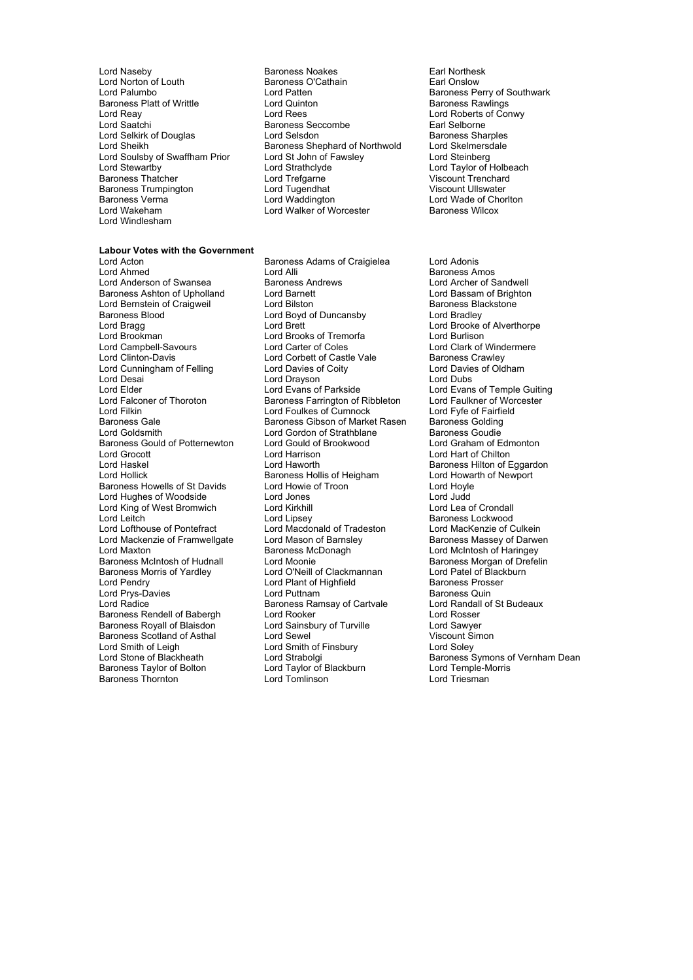Lord Naseby **Baroness Noakes** Earl Northesk<br>
Lord Norton of Louth **Baroness O'Cathain** Earl Onslow Lord Norton of Louth Earl Baroness O'Cathain Baroness O'Cathain Earl Onslow Baroness O'Cathain Earl Onslow Lord Patten Baroness Platt of Writtle Lord Quinton Baroness Platt of Writtle Lord Rees Lord Soulsby of Swaffham Prior Lord St John of F<br>Lord Stewartby Lord Strathclyde Baroness Trumpington and Lord Tugendhat Corporation Lord Ullswater<br>Baroness Verma Lord Windlesham

Lord Patten **Lord Patten Baroness Perry of Southwark**<br>
Lord Quinton **Lord Patter Baroness Rawlings** Lord Reay Lord Rees Lord Roberts of Conwy<br>
Lord Saatchi Conwy Baroness Seccombe Lord Relatione Land Selborne Earl Selborne<br>
Lord Selsdon<br>
Lord Selsdon<br>
Earl Baroness Sharples Lord Selkirk of Douglas<br>
Lord Selsdon Baroness Sharples<br>
Lord Shephard of Northwold Lord Skelmersdale Baroness Shephard of Northwold<br>Lord St John of Fawsley Baroness Thatcher **Lord Trefgarne** Lord Trefgarne Trenchard Viscount Trenchard<br>Baroness Trumpington **Lord Tugendhat** Viscount Ullswater Baroness Verma<br>
Lord Wade of Chorlton Lord Walker of Worcester The Baroness Wilcox<br>
Lord Walker of Worcester The Baroness Wilcox Lord Walker of Worcester

# **Labour Votes with the Government**<br>Lord Acton

Lord Bernstein of Craigweil<br>Baroness Blood Lord Brookman Lord Brooks of Tremorfa<br>
Lord Campbell-Savours Lord Carter of Coles Lord Desai Lord Drayson<br>
Lord Elder Lord Evans of Parkside Baroness Gould of Potternewton Lord Gould of Lord Graham Lord Gould of Edmonton Lord Harrison Lord King of West Bromwich Lord Mackenzie of Framwellgate Lord Mason of Barnsl<br>Lord Maxton baroness McDonagh Baroness Royall of Blaisdon Lord Smith of Leigh Lord Smith of Finsbury<br>
Lord Strabolain Lord Strabolain Lord Strabolain Baroness Thornton

Lord Acton Baroness Adams of Craigielea Lord Adonis Lord Anderson of Swansea Baroness Andrews Lord Archer of Sandwell Baroness Ashton of Upholland Lord Barnett Cord Barnett Lord Baroness Ashton of Brighton<br>
Lord Baroness Blackstone<br>
Lord Baroness Blackstone Lord Boyd of Duncansby Examples Blood<br>
Examples Blood<br>
Lord Bragg Lord Brett Lord Brooke of Alverthorpe<br>
Lord Brookman Lord Brooks of Tremorfa Lord Burlison<br>
Lord Brookman Lord Brooks of Tremorfa Lord Burlison Lord Campbell-Savours Lord Carter of Coles Lord Carter of Coles<br>
Lord Corbett of Castle Vale Baroness Crawley Lord Corbett of Castle Vale Baroness Crawley<br>
Lord Davies of Coity<br>
Lord Davies of Oldham Lord Cunningham of Felling Lord Davies of Coity<br>
Lord Desai Lord Davies Corp Lord Dubs<br>
Lord Desai Lord Dubs Lord Elder Lord Evans of Parkside Lord Evans of Temple Guiting<br>
Lord Eaconer of Thoroton Baroness Farrington of Ribbleton Lord Faulkner of Worcester Baroness Farrington of Ribbleton Lord Filkin Lord Foulkes of Cumnock Lord Fyfe of Fairfield<br>Baroness Gale Baroness Gibson of Market Rasen Baroness Golding Baroness Gale **Baroness Gibson of Market Rasen** Baroness Golding<br>
Lord Goldsmith **Baroness Coudie**<br>
Lord Gordon of Strathblane Baroness Goudie Lord Gordon of Strathblane Baroness Goudie<br>
Lord Gould of Brookwood Lord Graham of Edmonton Lord Grocott Lord Harrison Lord Hart of Chilton Lord Haskel **Lord Haworth Baroness Hilton of Eggardon**<br>
Lord Hollick **Consuments Baroness Hollis of Heigham** Lord Howarth of Newport Baroness Hollis of Heigham Baroness Howells of St Davids Lord Howie of Troon Theory Lord Hoyle<br>Lord Hughes of Woodside Lord Jones Lord Judd Lord Hughes of Woodside Lord Jones Lord Judd Lord Leitch **Lord Lipsey** Lord Lipsey **Baroness Lockwood** Lord Lord Macdonald of Tradeston **Baroness Lockwood** Lord Machana Lord Machana Lord Machana Lord Machana Lord Machana Lord Machana Lord Machana Lord Machana Lord Ma Lord Macdonald of Tradeston Lord MacKenzie of Culkein<br>Lord Mason of Barnsley **Baroness Massey of Darwen** Baroness McIntosh of Hudnall Lord Moonie<br>
Baroness Morris of Yardley Lord O'Neill of Clackmannan Lord Patel of Blackburn Baroness Morris of Yardley Lord O'Neill of Clackmannan Lord Patel of Black<br>Lord Pendry Lord Plant of Highfield Baroness Prosser Lord Plant of Highfield Baroness Pross<br>
Lord Puttnam Baroness Quin Lord Prys-Davies **Lord Puttnam**<br>
Lord Radice **Lord Ranges Baroness Ramsay of Cartvale** Lord Randall of St Budeaux Baroness Ramsay of Cartvale Baroness Rendell of Babergh Lord Rooker Consuments Rend Rosser<br>Baroness Royall of Blaisdon Lord Sainsbury of Turville Cord Sawyer Baroness Scotland of Asthal Lord Sewel Corporation Corporation Corporation Corporation Corporation Corporation<br>
Lord Smith of Finsbury Corporation Corporation Corporation Corporation Corporation Corporation Corporation Co Lord Taylor of Blackburn Lord Temple-Nord Temple-Morris<br>1991 Lord Triesman

Lord Steinberg<br>Lord Taylor of Holbeach<br>Viscount Trenchard

Baroness Amos Lord McIntosh of Haringey Lord Strabolgi and Baroness Symons of Vernham Dean<br>
Lord Strabolgi Baroness Symons of Vernham Dean<br>
Baroness Taylor of Bolton Lord Taylor of Blackburn Lord Temple-Morris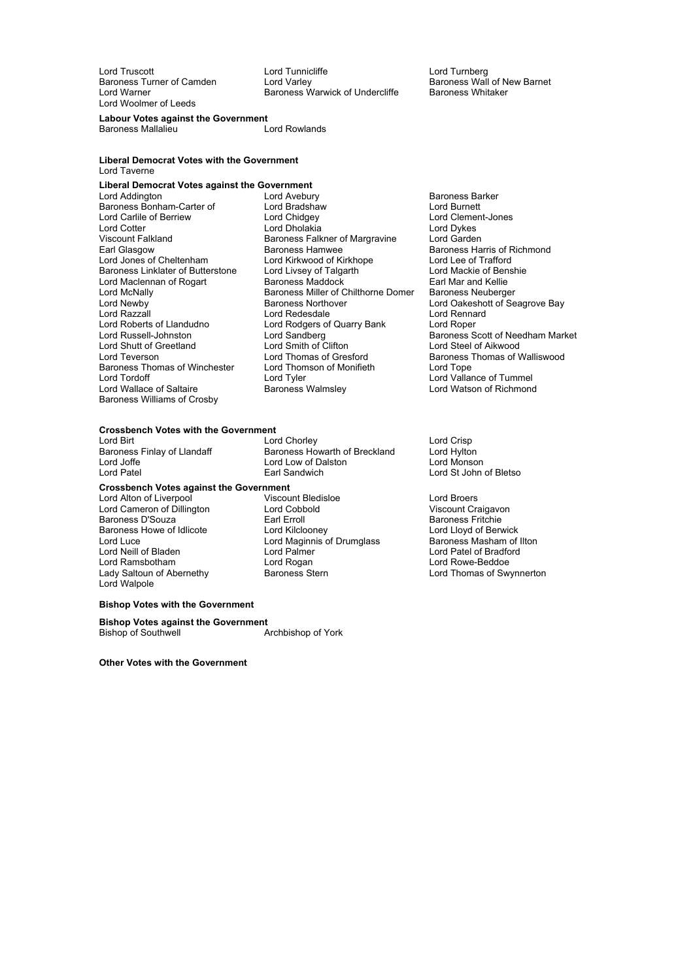Lord Woolmer of Leeds

Lord Truscott **Lord Turnicliffe** Lord Turnicliffe Lord Turnberg<br>
Baroness Turner of Camden Lord Varley Corpus Lord Valley Baroness Turner of Camden Lord Varley Baroness Wall of New Barnet<br>Lord Warner Camden Baroness Warwick of Undercliffe Baroness Whitaker Baroness Warwick of Undercliffe

#### **Labour Votes against the Government**

Baroness Mallalieu Lord Rowlands

#### **Liberal Democrat Votes with the Government** Lord Taverne

# **Liberal Democrat Votes against the Government**<br>Lord Addington **Lord Avebury**

Baroness Bonham-Carter of Lord Bradshay<br>
Lord Carlile of Berriew Lord Chidgey Viscount Falkland Baroness Falkner of Margravine<br>
Baroness Hamwee<br>
Baroness Hamwee Baroness Williams of Crosby

Lord Avebury **Baroness Barker**<br>
Lord Bradshaw **Baroness Barker**<br>
Lord Burnett Lord Cotter Lord Dholakia Lord Dykes Earl Glasgow<br>
Earl Glasgow Baroness Hamwee Baroness Harris of Richmond<br>
Lord Jones of Cheltenham Lord Kirkwood of Kirkhope Lord Lee of Trafford Lord Kirkwood of Kirkhope Lord Lee of Trafford<br>
Lord Livsey of Talgarth Lord Mackie of Benshie Baroness Linklater of Butterstone Lord Livsey of Talgarth **Example 2 Lord Mackie of Ben**<br>Lord Maclennan of Rogart Baroness Maddock **Earl Mar** and Kellie Lord Maclennan of Rogart Baroness Maddock Earl Mar and Kellie<br>Lord McNally Baroness Miller of Chilthorne Domer Baroness Neuberger Baroness Miller of Chilthorne Domer Lord Newby **Baroness Northover** Cord Cakeshott of Seagrove Bay<br>
Lord Razzall **Cord Redesdale** Cord Redesdale **Cord Renard** Lord Razzall **Lord Rennard Lord Rennard Lord Rennard Lord Rennard Lord Rennard Lord Rennard Lord Rennard Lord Rennard Lord Rennard Lord Rennard Lord Rennard Lord Rennard Lord Rennard Lord Rennard Lord Rennard Lord Rennard** Lord Rodgers of Quarry Bank Lord Russell-Johnston Lord Sandberg Baroness Scott of Needham Market Lord Russell-Johnston Lord Sandberg Baroness Scott of Nee<br>
Lord Shutt of Greetland Lord Smith of Clifton Lord Steel of Aikwood<br>
Lord Teverson Lord Thomas of Gresford Baroness Thomas of V Lord Thomas of Gresford Baroness Thomas of Walliswood<br>Lord Thomson of Monifieth Lord Tope Baroness Thomas of Winchester Lord Thomson of Monifieth Lord Tope Lord Tordoff **Communist Communist Communist Communist Communist Communist Communist Communist Communist Communist Communist Communist Communist Communist Communist Communist Communist Communist Communist Communist Communis** 

Lord Clement-Jones Lord Watson of Richmond

#### **Crossbench Votes with the Government**

Lord Birt Lord Chorley Lord Chorley<br>Baroness Finlay of Llandaff Baroness Howarth of Breckland Lord Hylton

**Crossbench Votes against the Government** Lord Alton of Liverpool Viscount Bledisloe Lord Broers Lord Cameron of Dillington Lord Cobbold<br>
Earl Erroll Control Control Control Control Control Control Control Control Control Control Control Control C<br>
Baroness D'Souza Baroness D'Souza (Earl Erroll Baroness Fritchie baroness Fritchie baroness Fritchie baroness Fritchie baroness<br>Baroness Howe of Idlicote (Earl Electric Baroness Lord Lloyd of Berwick) Baroness Howe of Idlicote Lord Kilclooney Lord Lloyd of Berwick Lord Neill of Bladen Lord Palmer Lord Patel of Bradford Lady Saltoun of Abernethy Baroness Stern Lord Thomas of Swynnerton Lord Walpole

Baroness Howarth of Breckland Lord Joffe Lord Low of Dalston Lord Monson Lord Patel Earl Sandwich Lord St John of Bletso Lord Maginnis of Drumglass

Lord Rowe-Beddoe

### **Bishop Votes with the Government**

**Bishop Votes against the Government** Bishop of Southwell **Archbishop of York** 

**Other Votes with the Government**